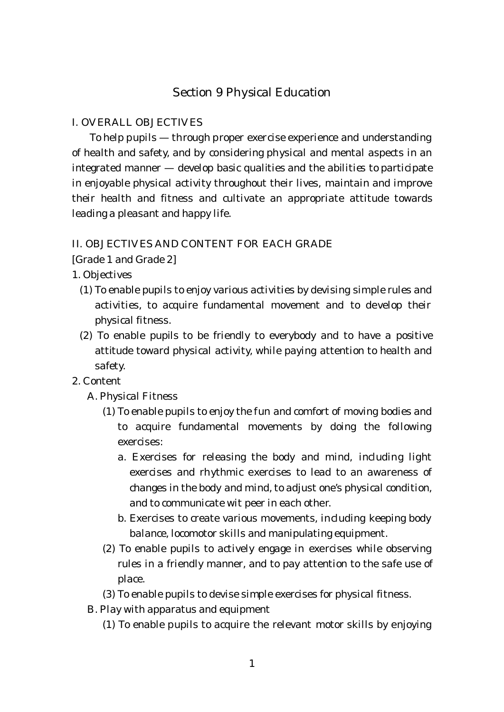# Section 9 Physical Education

#### I. OVERALL OBJECTIVES

To help pupils — through proper exercise experience and understanding of health and safety, and by considering physical and mental aspects in an integrated manner — develop basic qualities and the abilities to participate in enjoyable physical activity throughout their lives, maintain and improve their health and fitness and cultivate an appropriate attitude towards leading a pleasant and happy life.

#### II. OBJECTIVES AND CONTENT FOR EACH GRADE

[Grade 1 and Grade 2]

1. Objectives

- (1) To enable pupils to enjoy various activities by devising simple rules and activities, to acquire fundamental movement and to develop their physical fitness.
- (2) To enable pupils to be friendly to everybody and to have a positive attitude toward physical activity, while paying attention to health and safety.

## 2. Content

- A. Physical Fitness
	- (1) To enable pupils to enjoy the fun and comfort of moving bodies and to acquire fundamental movements by doing the following exercises:
		- a. Exercises for releasing the body and mind, including light exercises and rhythmic exercises to lead to an awareness of changes in the body and mind, to adjust one's physical condition, and to communicate wit peer in each other.
		- b. Exercises to create various movements, including keeping body balance, locomotor skills and manipulating equipment.
	- (2) To enable pupils to actively engage in exercises while observing rules in a friendly manner, and to pay attention to the safe use of place.
	- (3) To enable pupils to devise simple exercises for physical fitness.
- B. Play with apparatus and equipment
	- (1) To enable pupils to acquire the relevant motor skills by enjoying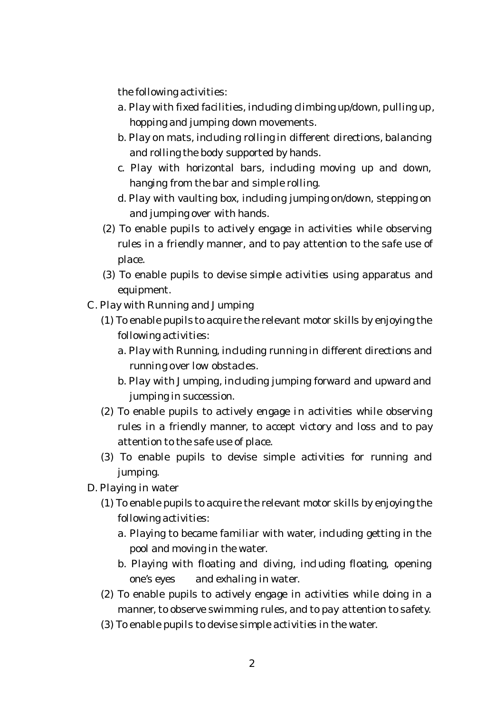the following activities:

- a. Play with fixed facilities, including climbing up/down, pulling up, hopping and jumping down movements.
- b. Play on mats, including rolling in different directions, balancing and rolling the body supported by hands.
- c. Play with horizontal bars, including moving up and down, hanging from the bar and simple rolling.
- d. Play with vaulting box, including jumping on/down, stepping on and jumping over with hands.
- (2) To enable pupils to actively engage in activities while observing rules in a friendly manner, and to pay attention to the safe use of place.
- (3) To enable pupils to devise simple activities using apparatus and equipment.
- C. Play with Running and Jumping
	- (1) To enable pupils to acquire the relevant motor skills by enjoying the following activities:
		- a. Play with Running, including running in different directions and running over low obstacles.
		- b. Play with Jumping, including jumping forward and upward and jumping in succession.
	- (2) To enable pupils to actively engage in activities while observing rules in a friendly manner, to accept victory and loss and to pay attention to the safe use of place.
	- (3) To enable pupils to devise simple activities for running and jumping.
- D. Playing in water
	- (1) To enable pupils to acquire the relevant motor skills by enjoying the following activities:
		- a. Playing to became familiar with water, including getting in the pool and moving in the water.
		- b. Playing with floating and diving, including floating, opening one's eyes and exhaling in water.
	- (2) To enable pupils to actively engage in activities while doing in a manner, to observe swimming rules, and to pay attention to safety.
	- (3) To enable pupils to devise simple activities in the water.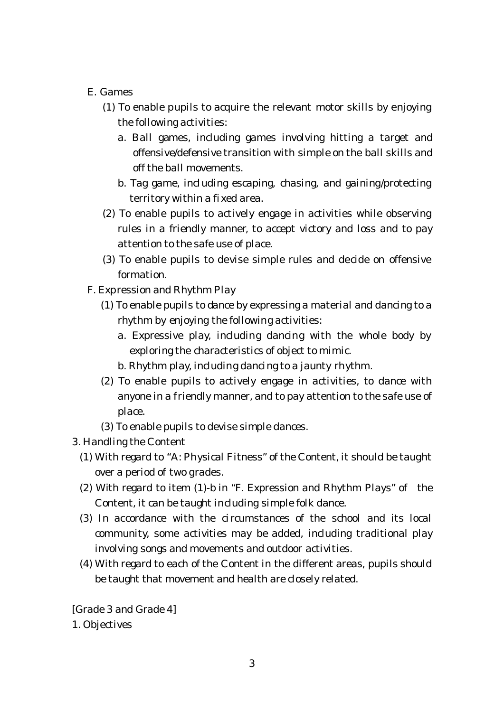## E. Games

- (1) To enable pupils to acquire the relevant motor skills by enjoying the following activities:
	- a. Ball games, including games involving hitting a target and offensive/defensive transition with simple on the ball skills and off the ball movements.
	- b. Tag game, including escaping, chasing, and gaining/protecting territory within a fixed area.
- (2) To enable pupils to actively engage in activities while observing rules in a friendly manner, to accept victory and loss and to pay attention to the safe use of place.
- (3) To enable pupils to devise simple rules and decide on offensive formation.
- F. Expression and Rhythm Play
	- (1) To enable pupils to dance by expressing a material and dancing to a rhythm by enjoying the following activities:
		- a. Expressive play, including dancing with the whole body by exploring the characteristics of object to mimic.
		- b. Rhythm play, including dancing to a jaunty rhythm.
	- (2) To enable pupils to actively engage in activities, to dance with anyone in a friendly manner, and to pay attention to the safe use of place.
	- (3) To enable pupils to devise simple dances.
- 3. Handling the Content
	- (1) With regard to "A: Physical Fitness" of the Content, it should be taught over a period of two grades.
	- (2) With regard to item (1)-b in "F. Expression and Rhythm Plays" of the Content, it can be taught including simple folk dance.
	- (3) In accordance with the circumstances of the school and its local community, some activities may be added, including traditional play involving songs and movements and outdoor activities.
	- (4) With regard to each of the Content in the different areas, pupils should be taught that movement and health are closely related.

[Grade 3 and Grade 4] 1. Objectives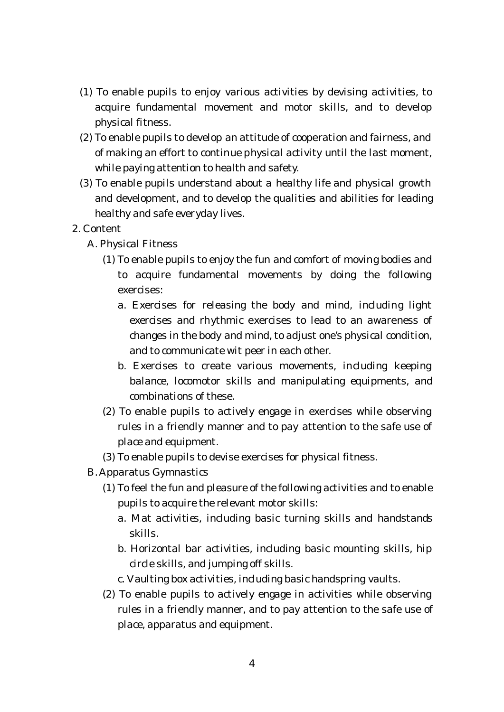- (1) To enable pupils to enjoy various activities by devising activities, to acquire fundamental movement and motor skills, and to develop physical fitness.
- (2) To enable pupils to develop an attitude of cooperation and fairness, and of making an effort to continue physical activity until the last moment, while paying attention to health and safety.
- (3) To enable pupils understand about a healthy life and physical growth and development, and to develop the qualities and abilities for leading healthy and safe everyday lives.
- 2. Content
	- A. Physical Fitness
		- (1) To enable pupils to enjoy the fun and comfort of moving bodies and to acquire fundamental movements by doing the following exercises:
			- a. Exercises for releasing the body and mind, including light exercises and rhythmic exercises to lead to an awareness of changes in the body and mind, to adjust one's physical condition, and to communicate wit peer in each other.
			- b. Exercises to create various movements, including keeping balance, locomotor skills and manipulating equipments, and combinations of these.
		- (2) To enable pupils to actively engage in exercises while observing rules in a friendly manner and to pay attention to the safe use of place and equipment.
		- (3) To enable pupils to devise exercises for physical fitness.
	- B. Apparatus Gymnastics
		- (1) To feel the fun and pleasure of the following activities and to enable pupils to acquire the relevant motor skills:
			- a. Mat activities, including basic turning skills and handstands skills.
			- b. Horizontal bar activities, including basic mounting skills, hip circle skills, and jumping off skills.
			- c. Vaulting box activities, including basic handspring vaults.
		- (2) To enable pupils to actively engage in activities while observing rules in a friendly manner, and to pay attention to the safe use of place, apparatus and equipment.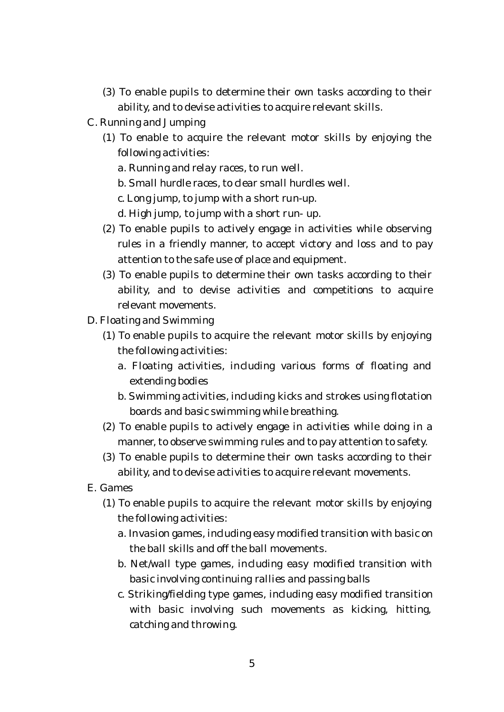- (3) To enable pupils to determine their own tasks according to their ability, and to devise activities to acquire relevant skills.
- C. Running and Jumping
	- (1) To enable to acquire the relevant motor skills by enjoying the following activities:
		- a. Running and relay races, to run well.
		- b. Small hurdle races, to clear small hurdles well.
		- c. Long jump, to jump with a short run-up.
		- d. High jump, to jump with a short run- up.
	- (2) To enable pupils to actively engage in activities while observing rules in a friendly manner, to accept victory and loss and to pay attention to the safe use of place and equipment.
	- (3) To enable pupils to determine their own tasks according to their ability, and to devise activities and competitions to acquire relevant movements.
- D. Floating and Swimming
	- (1) To enable pupils to acquire the relevant motor skills by enjoying the following activities:
		- a. Floating activities, including various forms of floating and extending bodies
		- b. Swimming activities, including kicks and strokes using flotation boards and basic swimming while breathing.
	- (2) To enable pupils to actively engage in activities while doing in a manner, to observe swimming rules and to pay attention to safety.
	- (3) To enable pupils to determine their own tasks according to their ability, and to devise activities to acquire relevant movements.
- E. Games
	- (1) To enable pupils to acquire the relevant motor skills by enjoying the following activities:
		- a. Invasion games, including easy modified transition with basic on the ball skills and off the ball movements.
		- b. Net/wall type games, including easy modified transition with basic involving continuing rallies and passing balls
		- c. Striking/fielding type games, including easy modified transition with basic involving such movements as kicking, hitting, catching and throwing.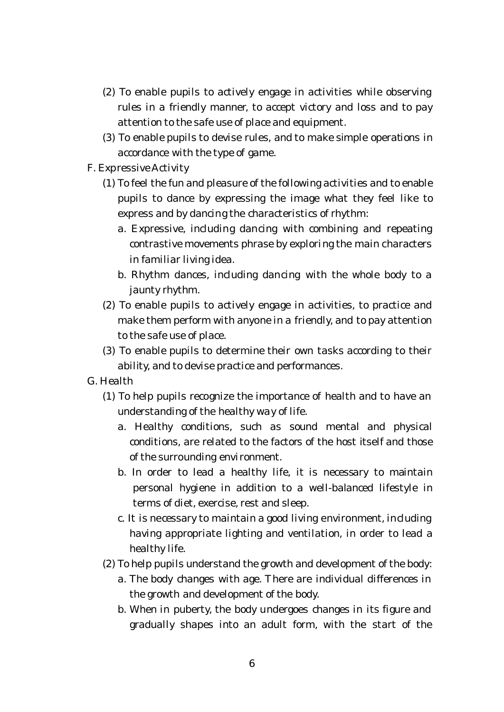- (2) To enable pupils to actively engage in activities while observing rules in a friendly manner, to accept victory and loss and to pay attention to the safe use of place and equipment.
- (3) To enable pupils to devise rules, and to make simple operations in accordance with the type of game.
- F. Expressive Activity
	- (1) To feel the fun and pleasure of the following activities and to enable pupils to dance by expressing the image what they feel like to express and by dancing the characteristics of rhythm:
		- a. Expressive, including dancing with combining and repeating contrastive movements phrase by exploring the main characters in familiar living idea.
		- b. Rhythm dances, including dancing with the whole body to a jaunty rhythm.
	- (2) To enable pupils to actively engage in activities, to practice and make them perform with anyone in a friendly, and to pay attention to the safe use of place.
	- (3) To enable pupils to determine their own tasks according to their ability, and to devise practice and performances.
- G. Health
	- (1) To help pupils recognize the importance of health and to have an understanding of the healthy way of life.
		- a. Healthy conditions, such as sound mental and physical conditions, are related to the factors of the host itself and those of the surrounding environment.
		- b. In order to lead a healthy life, it is necessary to maintain personal hygiene in addition to a well-balanced lifestyle in terms of diet, exercise, rest and sleep.
		- c. It is necessary to maintain a good living environment, including having appropriate lighting and ventilation, in order to lead a healthy life.
	- (2) To help pupils understand the growth and development of the body:
		- a. The body changes with age. There are individual differences in the growth and development of the body.
		- b. When in puberty, the body undergoes changes in its figure and gradually shapes into an adult form, with the start of the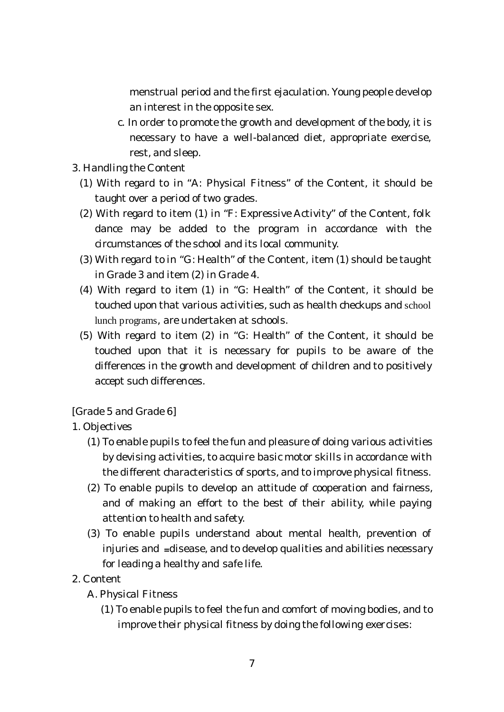menstrual period and the first ejaculation. Young people develop an interest in the opposite sex.

- c. In order to promote the growth and development of the body, it is necessary to have a well-balanced diet, appropriate exercise, rest, and sleep.
- 3. Handling the Content
	- (1) With regard to in "A: Physical Fitness" of the Content, it should be taught over a period of two grades.
	- (2) With regard to item (1) in "F: Expressive Activity" of the Content, folk dance may be added to the program in accordance with the circumstances of the school and its local community.
	- (3) With regard to in "G: Health" of the Content, item (1) should be taught in Grade 3 and item (2) in Grade 4.
	- (4) With regard to item (1) in "G: Health" of the Content, it should be touched upon that various activities, such as health checkups and school lunch programs, are undertaken at schools.
	- (5) With regard to item (2) in "G: Health" of the Content, it should be touched upon that it is necessary for pupils to be aware of the differences in the growth and development of children and to positively accept such differences.

[Grade 5 and Grade 6]

- 1. Objectives
	- (1) To enable pupils to feel the fun and pleasure of doing various activities by devising activities, to acquire basic motor skills in accordance with the different characteristics of sports, and to improve physical fitness.
	- (2) To enable pupils to develop an attitude of cooperation and fairness, and of making an effort to the best of their ability, while paying attention to health and safety.
	- (3) To enable pupils understand about mental health, prevention of injuries and  $=$ disease, and to develop qualities and abilities necessary for leading a healthy and safe life.
- 2. Content
	- A. Physical Fitness
		- (1) To enable pupils to feel the fun and comfort of moving bodies, and to improve their physical fitness by doing the following exercises: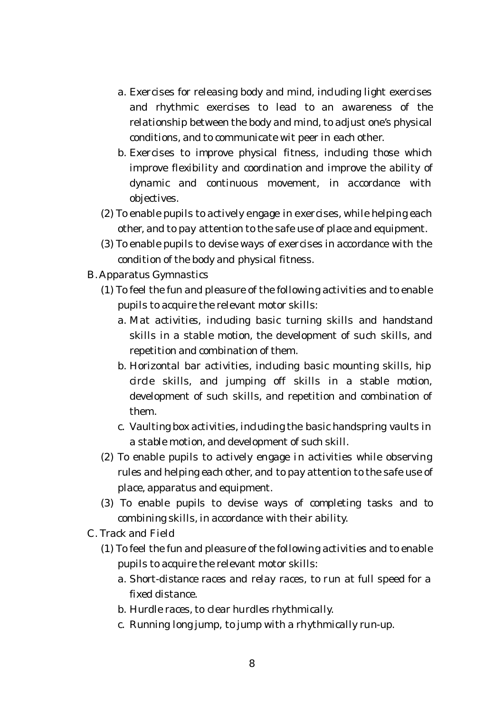- a. Exercises for releasing body and mind, including light exercises and rhythmic exercises to lead to an awareness of the relationship between the body and mind, to adjust one's physical conditions, and to communicate wit peer in each other.
- b. Exercises to improve physical fitness, including those which improve flexibility and coordination and improve the ability of dynamic and continuous movement, in accordance with objectives.
- (2) To enable pupils to actively engage in exercises, while helping each other, and to pay attention to the safe use of place and equipment.
- (3) To enable pupils to devise ways of exercises in accordance with the condition of the body and physical fitness.
- B. Apparatus Gymnastics
	- (1) To feel the fun and pleasure of the following activities and to enable pupils to acquire the relevant motor skills:
		- a. Mat activities, including basic turning skills and handstand skills in a stable motion, the development of such skills, and repetition and combination of them.
		- b. Horizontal bar activities, including basic mounting skills, hip circle skills, and jumping off skills in a stable motion, development of such skills, and repetition and combination of them.
		- c. Vaulting box activities, including the basic handspring vaults in a stable motion, and development of such skill.
	- (2) To enable pupils to actively engage in activities while observing rules and helping each other, and to pay attention to the safe use of place, apparatus and equipment.
	- (3) To enable pupils to devise ways of completing tasks and to combining skills, in accordance with their ability.
- C. Track and Field
	- (1) To feel the fun and pleasure of the following activities and to enable pupils to acquire the relevant motor skills:
		- a. Short-distance races and relay races, to run at full speed for a fixed distance.
		- b. Hurdle races, to clear hurdles rhythmically.
		- c. Running long jump, to jump with a rhythmically run-up.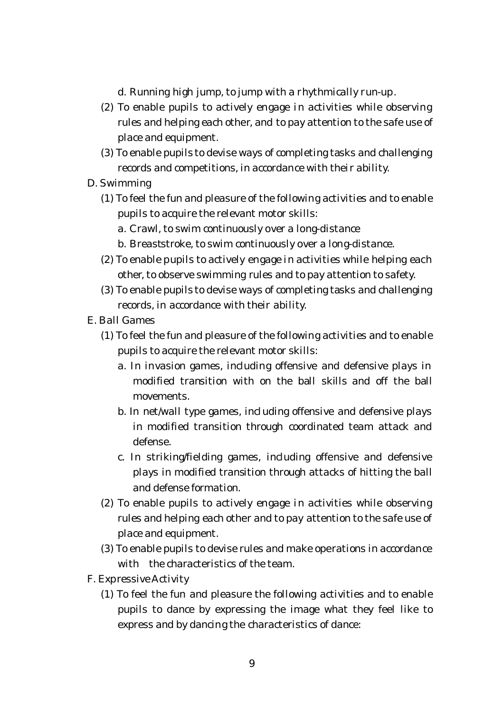d. Running high jump, to jump with a rhythmically run-up.

- (2) To enable pupils to actively engage in activities while observing rules and helping each other, and to pay attention to the safe use of place and equipment.
- (3) To enable pupils to devise ways of completing tasks and challenging records and competitions, in accordance with their ability.
- D. Swimming
	- (1) To feel the fun and pleasure of the following activities and to enable pupils to acquire the relevant motor skills:
		- a. Crawl, to swim continuously over a long-distance
		- b. Breaststroke, to swim continuously over a long-distance.
	- (2) To enable pupils to actively engage in activities while helping each other, to observe swimming rules and to pay attention to safety.
	- (3) To enable pupils to devise ways of completing tasks and challenging records, in accordance with their ability.
- E. Ball Games
	- (1) To feel the fun and pleasure of the following activities and to enable pupils to acquire the relevant motor skills:
		- a. In invasion games, including offensive and defensive plays in modified transition with on the ball skills and off the ball movements.
		- b. In net/wall type games, including offensive and defensive plays in modified transition through coordinated team attack and defense.
		- c. In striking/fielding games, including offensive and defensive plays in modified transition through attacks of hitting the ball and defense formation.
	- (2) To enable pupils to actively engage in activities while observing rules and helping each other and to pay attention to the safe use of place and equipment.
	- (3) To enable pupils to devise rules and make operations in accordance with the characteristics of the team.
- F. Expressive Activity
	- (1) To feel the fun and pleasure the following activities and to enable pupils to dance by expressing the image what they feel like to express and by dancing the characteristics of dance: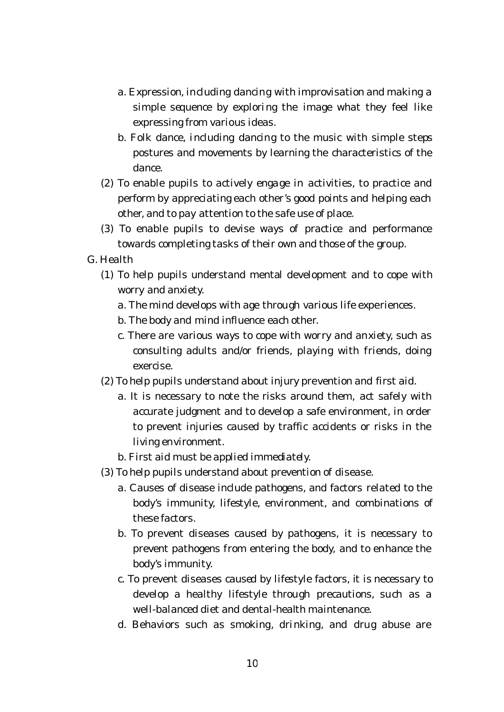- a. Expression, including dancing with improvisation and making a simple sequence by exploring the image what they feel like expressing from various ideas.
- b. Folk dance, including dancing to the music with simple steps postures and movements by learning the characteristics of the dance.
- (2) To enable pupils to actively engage in activities, to practice and perform by appreciating each other's good points and helping each other, and to pay attention to the safe use of place.
- (3) To enable pupils to devise ways of practice and performance towards completing tasks of their own and those of the group.
- G. Health
	- (1) To help pupils understand mental development and to cope with worry and anxiety.
		- a. The mind develops with age through various life experiences.
		- b. The body and mind influence each other.
		- c. There are various ways to cope with worry and anxiety, such as consulting adults and/or friends, playing with friends, doing exercise.
	- (2) To help pupils understand about injury prevention and first aid.
		- a. It is necessary to note the risks around them, act safely with accurate judgment and to develop a safe environment, in order to prevent injuries caused by traffic accidents or risks in the living environment.
		- b. First aid must be applied immediately.
	- (3) To help pupils understand about prevention of disease.
		- a. Causes of disease include pathogens, and factors related to the body's immunity, lifestyle, environment, and combinations of these factors.
		- b. To prevent diseases caused by pathogens, it is necessary to prevent pathogens from entering the body, and to enhance the body's immunity.
		- c. To prevent diseases caused by lifestyle factors, it is necessary to develop a healthy lifestyle through precautions, such as a well-balanced diet and dental-health maintenance.
		- d. Behaviors such as smoking, drinking, and drug abuse are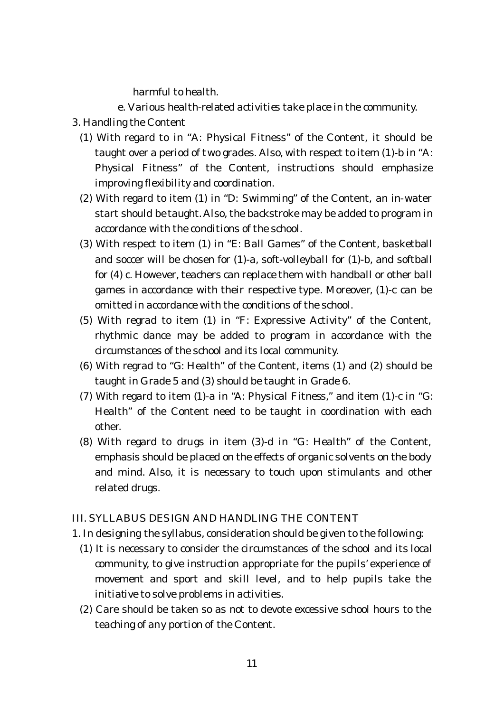harmful to health.

e. Various health-related activities take place in the community.

- 3. Handling the Content
	- (1) With regard to in "A: Physical Fitness" of the Content, it should be taught over a period of two grades. Also, with respect to item (1)-b in "A: Physical Fitness" of the Content, instructions should emphasize improving flexibility and coordination.
	- (2) With regard to item (1) in "D: Swimming" of the Content, an in-water start should be taught. Also, the backstroke may be added to program in accordance with the conditions of the school.
	- (3) With respect to item (1) in "E: Ball Games" of the Content, basketball and soccer will be chosen for (1)-a, soft-volleyball for (1)-b, and softball for (4) c. However, teachers can replace them with handball or other ball games in accordance with their respective type. Moreover, (1)-c can be omitted in accordance with the conditions of the school.
	- (5) With regrad to item (1) in "F: Expressive Activity" of the Content, rhythmic dance may be added to program in accordance with the circumstances of the school and its local community.
	- (6) With regrad to "G: Health" of the Content, items (1) and (2) should be taught in Grade 5 and (3) should be taught in Grade 6.
	- (7) With regard to item (1)-a in "A: Physical Fitness," and item (1)-c in "G: Health" of the Content need to be taught in coordination with each other.
	- (8) With regard to drugs in item (3)-d in "G: Health" of the Content, emphasis should be placed on the effects of organic solvents on the body and mind. Also, it is necessary to touch upon stimulants and other related drugs.

## III. SYLLABUS DESIGN AND HANDLING THE CONTENT

- 1. In designing the syllabus, consideration should be given to the following:
	- (1) It is necessary to consider the circumstances of the school and its local community, to give instruction appropriate for the pupils' experience of movement and sport and skill level, and to help pupils take the initiative to solve problems in activities.
	- (2) Care should be taken so as not to devote excessive school hours to the teaching of any portion of the Content.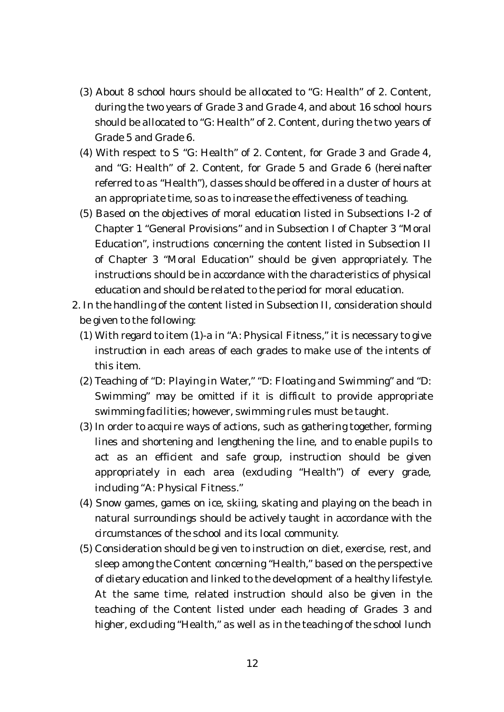- (3) About 8 school hours should be allocated to "G: Health" of 2. Content, during the two years of Grade 3 and Grade 4, and about 16 school hours should be allocated to "G: Health" of 2. Content, during the two years of Grade 5 and Grade 6.
- (4) With respect to S "G: Health" of 2. Content, for Grade 3 and Grade 4, and "G: Health" of 2. Content, for Grade 5 and Grade 6 (hereinafter referred to as "Health"), classes should be offered in a cluster of hours at an appropriate time, so as to increase the effectiveness of teaching.
- (5) Based on the objectives of moral education listed in Subsections I-2 of Chapter 1 "General Provisions" and in Subsection I of Chapter 3 "Moral Education", instructions concerning the content listed in Subsection II of Chapter 3 "Moral Education" should be given appropriately. The instructions should be in accordance with the characteristics of physical education and should be related to the period for moral education.
- 2. In the handling of the content listed in Subsection II, consideration should be given to the following:
	- (1) With regard to item (1)-a in "A: Physical Fitness," it is necessary to give instruction in each areas of each grades to make use of the intents of this item.
	- (2) Teaching of "D: Playing in Water," "D: Floating and Swimming" and "D: Swimming" may be omitted if it is difficult to provide appropriate swimming facilities; however, swimming rules must be taught.
	- (3) In order to acquire ways of actions, such as gathering together, forming lines and shortening and lengthening the line, and to enable pupils to act as an efficient and safe group, instruction should be given appropriately in each area (excluding "Health") of every grade, including "A: Physical Fitness."
	- (4) Snow games, games on ice, skiing, skating and playing on the beach in natural surroundings should be actively taught in accordance with the circumstances of the school and its local community.
	- (5) Consideration should be given to instruction on diet, exercise, rest, and sleep among the Content concerning "Health," based on the perspective of dietary education and linked to the development of a healthy lifestyle. At the same time, related instruction should also be given in the teaching of the Content listed under each heading of Grades 3 and higher, excluding "Health," as well as in the teaching of the school lunch